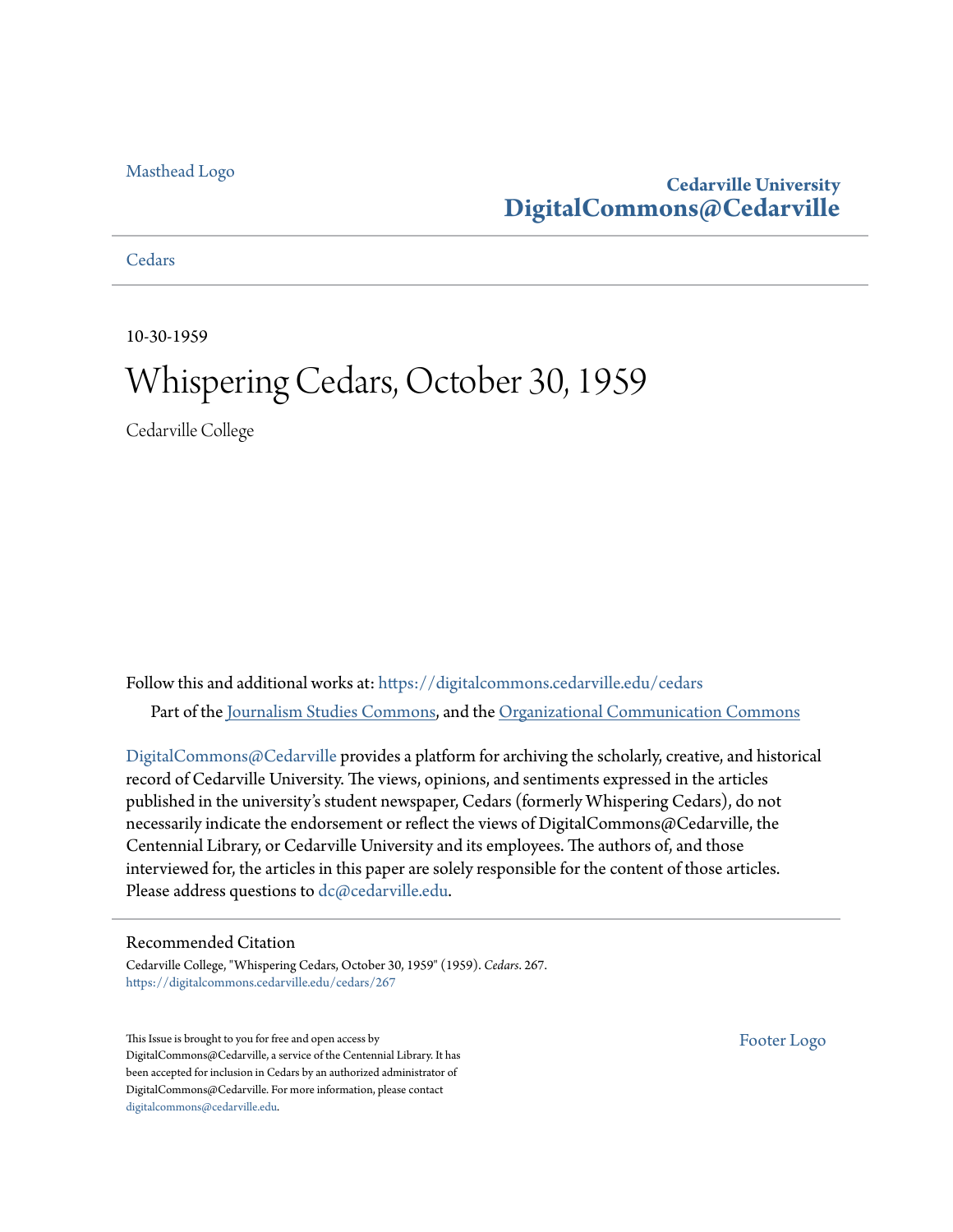#### [Masthead Logo](http://www.cedarville.edu/?utm_source=digitalcommons.cedarville.edu%2Fcedars%2F267&utm_medium=PDF&utm_campaign=PDFCoverPages)

# **Cedarville University [DigitalCommons@Cedarville](https://digitalcommons.cedarville.edu?utm_source=digitalcommons.cedarville.edu%2Fcedars%2F267&utm_medium=PDF&utm_campaign=PDFCoverPages)**

**[Cedars](https://digitalcommons.cedarville.edu/cedars?utm_source=digitalcommons.cedarville.edu%2Fcedars%2F267&utm_medium=PDF&utm_campaign=PDFCoverPages)** 

10-30-1959

# Whispering Cedars, October 30, 1959

Cedarville College

Follow this and additional works at: [https://digitalcommons.cedarville.edu/cedars](https://digitalcommons.cedarville.edu/cedars?utm_source=digitalcommons.cedarville.edu%2Fcedars%2F267&utm_medium=PDF&utm_campaign=PDFCoverPages) Part of the [Journalism Studies Commons](http://network.bepress.com/hgg/discipline/333?utm_source=digitalcommons.cedarville.edu%2Fcedars%2F267&utm_medium=PDF&utm_campaign=PDFCoverPages), and the [Organizational Communication Commons](http://network.bepress.com/hgg/discipline/335?utm_source=digitalcommons.cedarville.edu%2Fcedars%2F267&utm_medium=PDF&utm_campaign=PDFCoverPages)

[DigitalCommons@Cedarville](http://digitalcommons.cedarville.edu/) provides a platform for archiving the scholarly, creative, and historical record of Cedarville University. The views, opinions, and sentiments expressed in the articles published in the university's student newspaper, Cedars (formerly Whispering Cedars), do not necessarily indicate the endorsement or reflect the views of DigitalCommons@Cedarville, the Centennial Library, or Cedarville University and its employees. The authors of, and those interviewed for, the articles in this paper are solely responsible for the content of those articles. Please address questions to [dc@cedarville.edu.](mailto:dc@cedarville.edu)

#### Recommended Citation

Cedarville College, "Whispering Cedars, October 30, 1959" (1959). *Cedars*. 267. [https://digitalcommons.cedarville.edu/cedars/267](https://digitalcommons.cedarville.edu/cedars/267?utm_source=digitalcommons.cedarville.edu%2Fcedars%2F267&utm_medium=PDF&utm_campaign=PDFCoverPages)

This Issue is brought to you for free and open access by DigitalCommons@Cedarville, a service of the Centennial Library. It has been accepted for inclusion in Cedars by an authorized administrator of DigitalCommons@Cedarville. For more information, please contact [digitalcommons@cedarville.edu](mailto:digitalcommons@cedarville.edu).

[Footer Logo](http://www.cedarville.edu/Academics/Library.aspx?utm_source=digitalcommons.cedarville.edu%2Fcedars%2F267&utm_medium=PDF&utm_campaign=PDFCoverPages)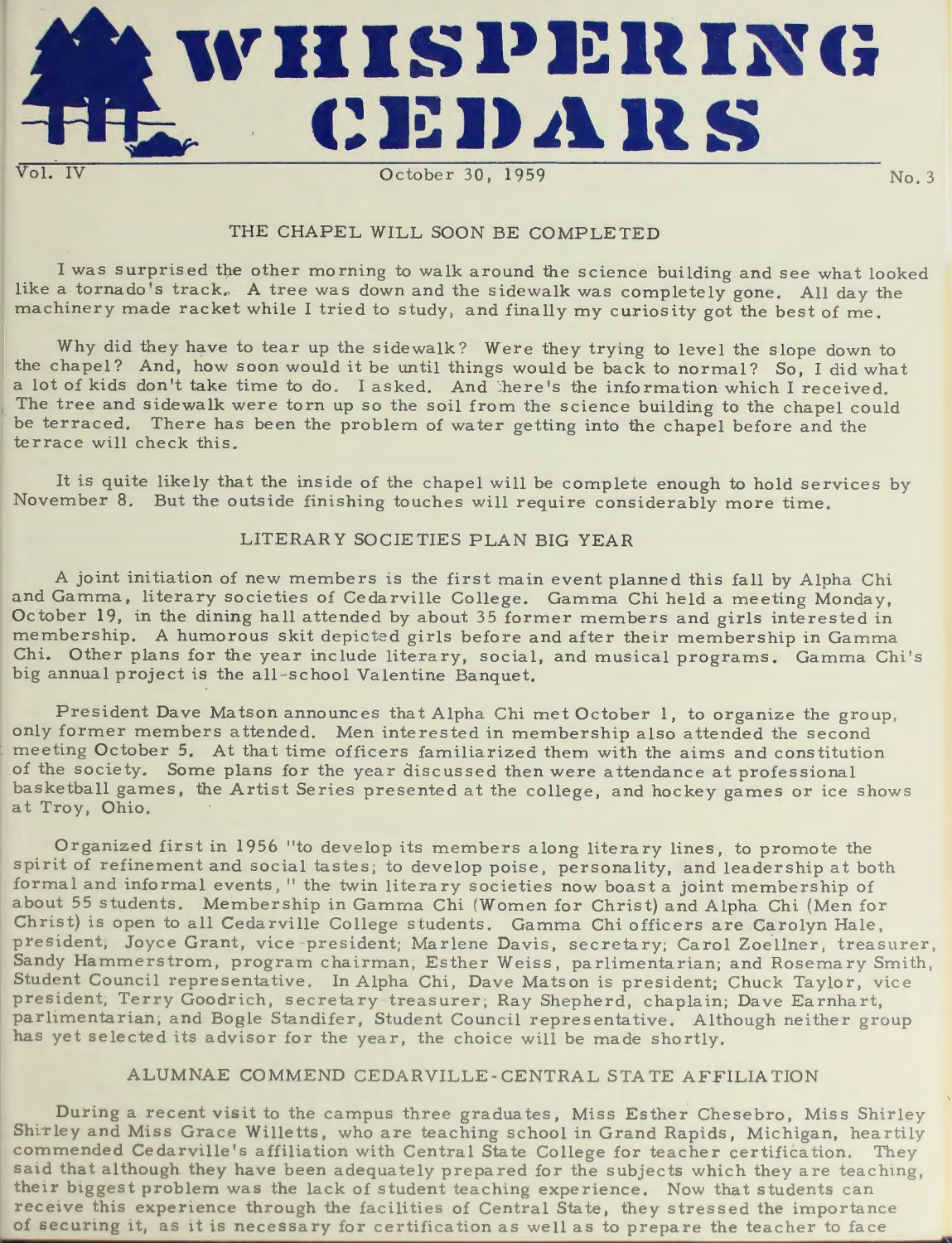

## THE CHAPEL WILL SOON BE COMPLETED

<sup>I</sup>was surprised the other morning to walk around the science building and see what looked like a tornado's track. A tree was down and the sidewalk was completely gone. All day the machinery made racket while I tried to study, and finally my curiosity got the best of me.

Why did they have to tear up the sidewalk? Were they trying to level the slope down to the chapel? And, how soon would it be until things would be back to normal? So, I did what a lot of kids don't take time to do. I asked. And there's the information which I received. The tree and sidewalk were torn up so the soil from the science building to the chapel could be terraced. There has been the problem of water getting into the chapel before and the terrace will check this.

It is quite likely that the inside of the chapel will be complete enough to hold services by November 8. But the outside finishing touches will require considerably more time.

## LITERARY SOCIETIES PLAN BIG YEAR

<sup>A</sup>joint initiation of new members is the first main event planned this fall by Alpha Chi and Gamma, literary societies of Cedarville College. Gamma Chi held a meeting Monday, October 19, in the dining hall attended by about 35 former members and girls interested in membership. A humorous skit depicted girls before and after their membership in Gamm<sup>a</sup> Chi. Other plans for the year include literary, social, and musical programs. Gamma Chi 's big annual project is the all-school Valentine Banquet.

President Dave Matson announces that Alpha Chi met October 1, to organize the group, only former members attended. Men interested in membership also attended the second meeting October 5. At that time officers familiarized them with the aims and constitution of the society. Some plans for the year discussed then were attendance at professional basketball games, the Artist Series presented at the college, and hockey games or ice shows at Troy, Ohio.

Organized first in 1956 "to dev<sup>e</sup> lop its members along literary lines, to promote th spirit of refinement and social tastes; to develop poise, personality, and leadership at both formal and informal events," the twin literary <sup>s</sup> ocieties now boast a joint membership of about 55 students. Membership in Gamrna Chi (Women for Christ) and Alpha Chi (Men for Christ) is open to all Cedarville College students. Gamma Chi officers are Carolyn Hale, president, Joyce Grant, vice president; Marlene Davis, secretary; Carol Zoellner, treasurer, Sandy Hammerstrom, program chairman, Esther Weiss, parlimentarian; and Rosemary Smith, Student Council representative. In Alpha Chi, Dave Matson is president; Chuck Taylor, vice president, Terry Goodrich, secretary-treasurer; Ray Shepherd, chaplain; Dave Earnhart, parlimentarian; and Bogle Standifer, Student Council representative. Although neither group has yet selected its advisor for the year, the choice will be made shortly.

## ALUMNAE COMMEND CEDARVILLE-CENTRAL STA TE AFFILIA ION

During a recent visit to the campus three graduates, Miss Esther Chesebro, Miss Shirley Shirley and Miss Grace Willetts, who are teaching school in Grand Rapids, Michigan, heartily commended Cedarville's affiliation with Central State College for teacher certification. They said that although they have been adequately prepared for the subjects which they are teaching, their biggest problem was the lack of student teaching experience. Now that students can receive this experience through the facilities of Central State, they stressed the importance of securing it, as it is necessary for certification as well as to prepare the teacher to face